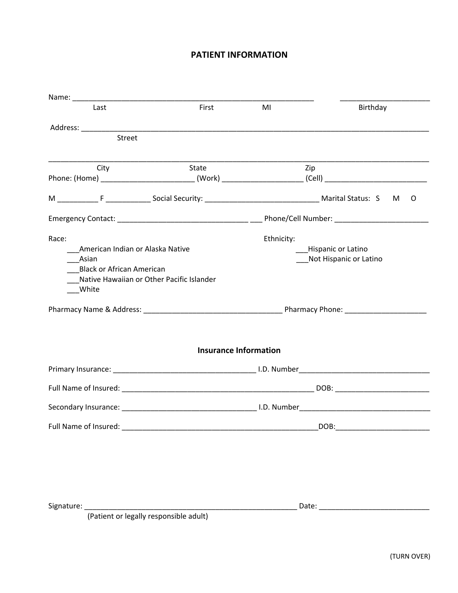## **PATIENT INFORMATION**

| Last                                      | First                        | MI         | Birthday                                                                                                      |  |  |  |
|-------------------------------------------|------------------------------|------------|---------------------------------------------------------------------------------------------------------------|--|--|--|
|                                           |                              |            |                                                                                                               |  |  |  |
| <b>Street</b>                             |                              |            |                                                                                                               |  |  |  |
| City                                      | State                        |            | Zip                                                                                                           |  |  |  |
|                                           |                              |            | Phone: (Home) ______________________________(Work) _______________________(Cell) ____________________________ |  |  |  |
|                                           |                              |            | O                                                                                                             |  |  |  |
|                                           |                              |            |                                                                                                               |  |  |  |
| Race:                                     |                              | Ethnicity: |                                                                                                               |  |  |  |
| American Indian or Alaska Native          |                              |            | <b>Hispanic or Latino</b>                                                                                     |  |  |  |
| Asian                                     |                              |            | Not Hispanic or Latino                                                                                        |  |  |  |
| <b>Black or African American</b>          |                              |            |                                                                                                               |  |  |  |
| Native Hawaiian or Other Pacific Islander |                              |            |                                                                                                               |  |  |  |
| White                                     |                              |            |                                                                                                               |  |  |  |
|                                           |                              |            |                                                                                                               |  |  |  |
|                                           |                              |            |                                                                                                               |  |  |  |
|                                           | <b>Insurance Information</b> |            |                                                                                                               |  |  |  |
|                                           |                              |            |                                                                                                               |  |  |  |
|                                           |                              |            |                                                                                                               |  |  |  |
|                                           |                              |            |                                                                                                               |  |  |  |
| Full Name of Insured:                     |                              |            | DOB:                                                                                                          |  |  |  |
|                                           |                              |            |                                                                                                               |  |  |  |
|                                           |                              |            |                                                                                                               |  |  |  |
|                                           |                              |            |                                                                                                               |  |  |  |
|                                           |                              |            |                                                                                                               |  |  |  |
|                                           |                              |            |                                                                                                               |  |  |  |
| Signature:                                | Date:                        |            |                                                                                                               |  |  |  |

(Patient or legally responsible adult)